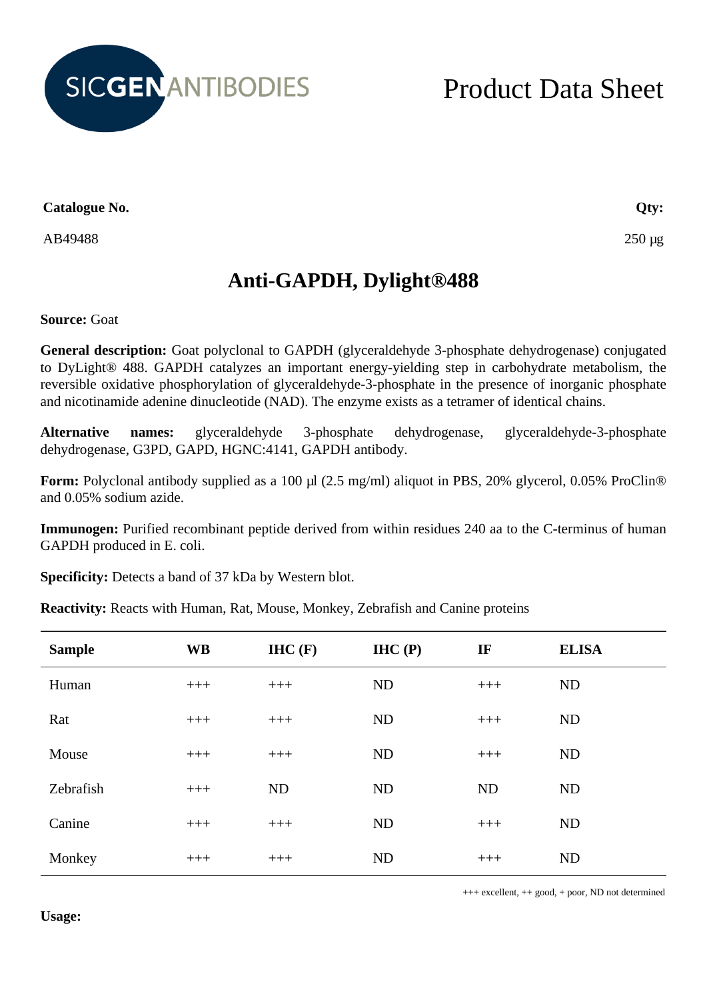

## Product Data Sheet

**Catalogue No.**

AB49488

**Qty:**

250 µg

## **Anti-GAPDH, Dylight®488**

**Source:** Goat

**General description:** Goat polyclonal to GAPDH (glyceraldehyde 3-phosphate dehydrogenase) conjugated to DyLight® 488. GAPDH catalyzes an important energy-yielding step in carbohydrate metabolism, the reversible oxidative phosphorylation of glyceraldehyde-3-phosphate in the presence of inorganic phosphate and nicotinamide adenine dinucleotide (NAD). The enzyme exists as a tetramer of identical chains.

**Alternative names:** glyceraldehyde 3-phosphate dehydrogenase, glyceraldehyde-3-phosphate dehydrogenase, G3PD, GAPD, HGNC:4141, GAPDH antibody.

**Form:** Polyclonal antibody supplied as a 100 µl (2.5 mg/ml) aliquot in PBS, 20% glycerol, 0.05% ProClin® and 0.05% sodium azide.

**Immunogen:** Purified recombinant peptide derived from within residues 240 aa to the C-terminus of human GAPDH produced in E. coli.

**Specificity:** Detects a band of 37 kDa by Western blot.

**Reactivity:** Reacts with Human, Rat, Mouse, Monkey, Zebrafish and Canine proteins

| <b>Sample</b> | <b>WB</b> | H C(F)    | IHC(P)    | IF    | <b>ELISA</b> |
|---------------|-----------|-----------|-----------|-------|--------------|
| Human         | $+++$     | $+++$     | <b>ND</b> | $+++$ | ND           |
| Rat           | $+++$     | $+++$     | ND        | $+++$ | ND           |
| Mouse         | $+++$     | $+++$     | ND        | $+++$ | ND           |
| Zebrafish     | $+++$     | <b>ND</b> | <b>ND</b> | ND    | <b>ND</b>    |
| Canine        | $+++$     | $+++$     | <b>ND</b> | $+++$ | ND           |
| Monkey        | $+++$     | $+++$     | <b>ND</b> | $+++$ | ND           |

+++ excellent, ++ good, + poor, ND not determined

**Usage:**